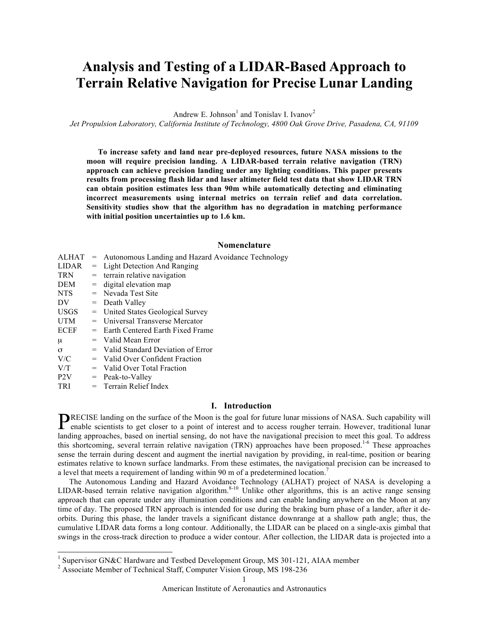# **Analysis and Testing of a LIDAR-Based Approach to Terrain Relative Navigation for Precise Lunar Landing**

Andrew E. Johnson<sup>1</sup> and Tonislav I. Ivanov<sup>2</sup>

*Jet Propulsion Laboratory, California Institute of Technology, 4800 Oak Grove Drive, Pasadena, CA, 91109*

**To increase safety and land near pre-deployed resources, future NASA missions to the moon will require precision landing. A LIDAR-based terrain relative navigation (TRN) approach can achieve precision landing under any lighting conditions. This paper presents results from processing flash lidar and laser altimeter field test data that show LIDAR TRN can obtain position estimates less than 90m while automatically detecting and eliminating incorrect measurements using internal metrics on terrain relief and data correlation. Sensitivity studies show that the algorithm has no degradation in matching performance with initial position uncertainties up to 1.6 km.**

# **Nomenclature**

| ALHAT            |     | = Autonomous Landing and Hazard Avoidance Technology |  |  |  |
|------------------|-----|------------------------------------------------------|--|--|--|
| <b>LIDAR</b>     | $=$ | Light Detection And Ranging                          |  |  |  |
| <b>TRN</b>       |     | $=$ terrain relative navigation                      |  |  |  |
| DEM              |     | $=$ digital elevation map                            |  |  |  |
| NTS -            |     | $=$ Nevada Test Site                                 |  |  |  |
| DV               |     | $=$ Death Valley                                     |  |  |  |
| <b>USGS</b>      |     | = United States Geological Survey                    |  |  |  |
| <b>UTM</b>       |     | $=$ Universal Transverse Mercator                    |  |  |  |
| <b>ECEF</b>      |     | $=$ Earth Centered Earth Fixed Frame                 |  |  |  |
| μ                |     | $=$ Valid Mean Error                                 |  |  |  |
| $\sigma$         |     | $=$ Valid Standard Deviation of Error                |  |  |  |
| V/C              |     | $=$ Valid Over Confident Fraction                    |  |  |  |
| V/T              |     | $=$ Valid Over Total Fraction                        |  |  |  |
| P <sub>2</sub> V |     | $=$ Peak-to-Valley                                   |  |  |  |
| <b>TRI</b>       |     | $=$ Terrain Relief Index                             |  |  |  |

#### **I. Introduction**

RECISE landing on the surface of the Moon is the goal for future lunar missions of NASA. Such capability will **PRECISE** landing on the surface of the Moon is the goal for future lunar missions of NASA. Such capability will enable scientists to get closer to a point of interest and to access rougher terrain. However, traditional lu landing approaches, based on inertial sensing, do not have the navigational precision to meet this goal. To address this shortcoming, several terrain relative navigation (TRN) approaches have been proposed.<sup>1-6</sup> These approaches sense the terrain during descent and augment the inertial navigation by providing, in real-time, position or bearing estimates relative to known surface landmarks. From these estimates, the navigational precision can be increased to a level that meets a requirement of landing within 90 m of a predetermined location.<sup>7</sup>

The Autonomous Landing and Hazard Avoidance Technology (ALHAT) project of NASA is developing a LIDAR-based terrain relative navigation algorithm.<sup>8-10</sup> Unlike other algorithms, this is an active range sensing approach that can operate under any illumination conditions and can enable landing anywhere on the Moon at any time of day. The proposed TRN approach is intended for use during the braking burn phase of a lander, after it deorbits. During this phase, the lander travels a significant distance downrange at a shallow path angle; thus, the cumulative LIDAR data forms a long contour. Additionally, the LIDAR can be placed on a single-axis gimbal that swings in the cross-track direction to produce a wider contour. After collection, the LIDAR data is projected into a

<sup>&</sup>lt;sup>1</sup> Supervisor GN&C Hardware and Testbed Development Group, MS 301-121, AIAA member  $^2$  Associate Member of Technical Staff, Computer Vision Group, MS 198-236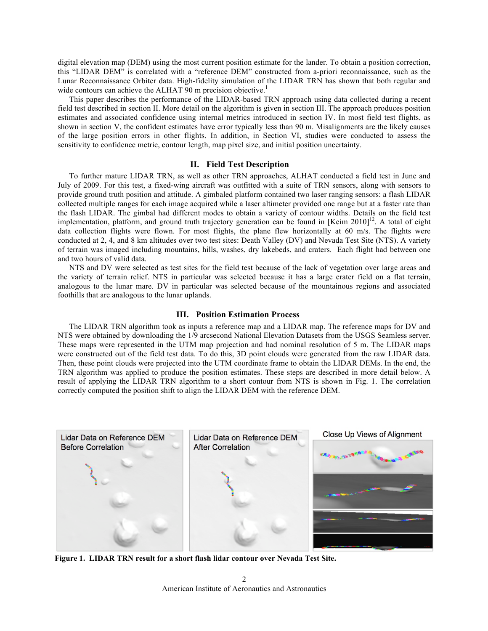digital elevation map (DEM) using the most current position estimate for the lander. To obtain a position correction, this "LIDAR DEM" is correlated with a "reference DEM" constructed from a-priori reconnaissance, such as the Lunar Reconnaissance Orbiter data. High-fidelity simulation of the LIDAR TRN has shown that both regular and wide contours can achieve the ALHAT 90 m precision objective.<sup>1</sup>

This paper describes the performance of the LIDAR-based TRN approach using data collected during a recent field test described in section II. More detail on the algorithm is given in section III. The approach produces position estimates and associated confidence using internal metrics introduced in section IV. In most field test flights, as shown in section V, the confident estimates have error typically less than 90 m. Misalignments are the likely causes of the large position errors in other flights. In addition, in Section VI, studies were conducted to assess the sensitivity to confidence metric, contour length, map pixel size, and initial position uncertainty.

# **II. Field Test Description**

To further mature LIDAR TRN, as well as other TRN approaches, ALHAT conducted a field test in June and July of 2009. For this test, a fixed-wing aircraft was outfitted with a suite of TRN sensors, along with sensors to provide ground truth position and attitude. A gimbaled platform contained two laser ranging sensors: a flash LIDAR collected multiple ranges for each image acquired while a laser altimeter provided one range but at a faster rate than the flash LIDAR. The gimbal had different modes to obtain a variety of contour widths. Details on the field test implementation, platform, and ground truth trajectory generation can be found in  $[Keim 2010]^{12}$ . A total of eight data collection flights were flown. For most flights, the plane flew horizontally at 60 m/s. The flights were conducted at 2, 4, and 8 km altitudes over two test sites: Death Valley (DV) and Nevada Test Site (NTS). A variety of terrain was imaged including mountains, hills, washes, dry lakebeds, and craters. Each flight had between one and two hours of valid data.

NTS and DV were selected as test sites for the field test because of the lack of vegetation over large areas and the variety of terrain relief. NTS in particular was selected because it has a large crater field on a flat terrain, analogous to the lunar mare. DV in particular was selected because of the mountainous regions and associated foothills that are analogous to the lunar uplands.

# **III. Position Estimation Process**

The LIDAR TRN algorithm took as inputs a reference map and a LIDAR map. The reference maps for DV and NTS were obtained by downloading the 1/9 arcsecond National Elevation Datasets from the USGS Seamless server. These maps were represented in the UTM map projection and had nominal resolution of 5 m. The LIDAR maps were constructed out of the field test data. To do this, 3D point clouds were generated from the raw LIDAR data. Then, these point clouds were projected into the UTM coordinate frame to obtain the LIDAR DEMs. In the end, the TRN algorithm was applied to produce the position estimates. These steps are described in more detail below. A result of applying the LIDAR TRN algorithm to a short contour from NTS is shown in Fig. 1. The correlation correctly computed the position shift to align the LIDAR DEM with the reference DEM.



**Figure 1. LIDAR TRN result for a short flash lidar contour over Nevada Test Site.**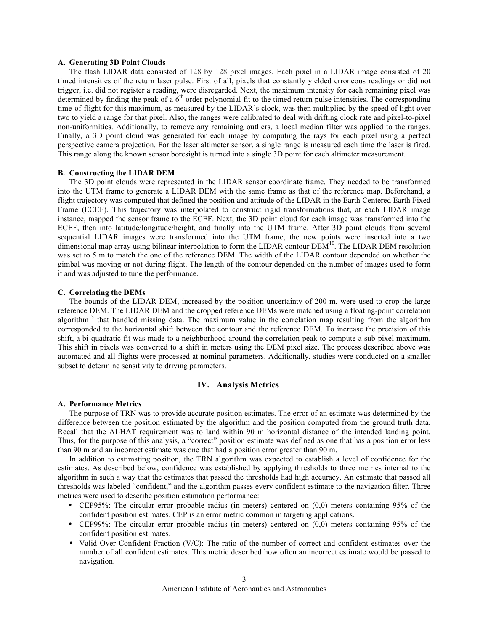# **A. Generating 3D Point Clouds**

The flash LIDAR data consisted of 128 by 128 pixel images. Each pixel in a LIDAR image consisted of 20 timed intensities of the return laser pulse. First of all, pixels that constantly yielded erroneous readings or did not trigger, i.e. did not register a reading, were disregarded. Next, the maximum intensity for each remaining pixel was determined by finding the peak of a  $6<sup>th</sup>$  order polynomial fit to the timed return pulse intensities. The corresponding time-of-flight for this maximum, as measured by the LIDAR's clock, was then multiplied by the speed of light over two to yield a range for that pixel. Also, the ranges were calibrated to deal with drifting clock rate and pixel-to-pixel non-uniformities. Additionally, to remove any remaining outliers, a local median filter was applied to the ranges. Finally, a 3D point cloud was generated for each image by computing the rays for each pixel using a perfect perspective camera projection. For the laser altimeter sensor, a single range is measured each time the laser is fired. This range along the known sensor boresight is turned into a single 3D point for each altimeter measurement.

## **B. Constructing the LIDAR DEM**

The 3D point clouds were represented in the LIDAR sensor coordinate frame. They needed to be transformed into the UTM frame to generate a LIDAR DEM with the same frame as that of the reference map. Beforehand, a flight trajectory was computed that defined the position and attitude of the LIDAR in the Earth Centered Earth Fixed Frame (ECEF). This trajectory was interpolated to construct rigid transformations that, at each LIDAR image instance, mapped the sensor frame to the ECEF. Next, the 3D point cloud for each image was transformed into the ECEF, then into latitude/longitude/height, and finally into the UTM frame. After 3D point clouds from several sequential LIDAR images were transformed into the UTM frame, the new points were inserted into a two dimensional map array using bilinear interpolation to form the LIDAR contour DEM<sup>10</sup>. The LIDAR DEM resolution was set to 5 m to match the one of the reference DEM. The width of the LIDAR contour depended on whether the gimbal was moving or not during flight. The length of the contour depended on the number of images used to form it and was adjusted to tune the performance.

#### **C. Correlating the DEMs**

The bounds of the LIDAR DEM, increased by the position uncertainty of 200 m, were used to crop the large reference DEM. The LIDAR DEM and the cropped reference DEMs were matched using a floating-point correlation algorithm<sup>13</sup> that handled missing data. The maximum value in the correlation map resulting from the algorithm corresponded to the horizontal shift between the contour and the reference DEM. To increase the precision of this shift, a bi-quadratic fit was made to a neighborhood around the correlation peak to compute a sub-pixel maximum. This shift in pixels was converted to a shift in meters using the DEM pixel size. The process described above was automated and all flights were processed at nominal parameters. Additionally, studies were conducted on a smaller subset to determine sensitivity to driving parameters.

# **IV. Analysis Metrics**

#### **A. Performance Metrics**

The purpose of TRN was to provide accurate position estimates. The error of an estimate was determined by the difference between the position estimated by the algorithm and the position computed from the ground truth data. Recall that the ALHAT requirement was to land within 90 m horizontal distance of the intended landing point. Thus, for the purpose of this analysis, a "correct" position estimate was defined as one that has a position error less than 90 m and an incorrect estimate was one that had a position error greater than 90 m.

In addition to estimating position, the TRN algorithm was expected to establish a level of confidence for the estimates. As described below, confidence was established by applying thresholds to three metrics internal to the algorithm in such a way that the estimates that passed the thresholds had high accuracy. An estimate that passed all thresholds was labeled "confident," and the algorithm passes every confident estimate to the navigation filter. Three metrics were used to describe position estimation performance:

- CEP95%: The circular error probable radius (in meters) centered on (0,0) meters containing 95% of the confident position estimates. CEP is an error metric common in targeting applications.
- CEP99%: The circular error probable radius (in meters) centered on (0,0) meters containing 95% of the confident position estimates.
- Valid Over Confident Fraction (V/C): The ratio of the number of correct and confident estimates over the number of all confident estimates. This metric described how often an incorrect estimate would be passed to navigation.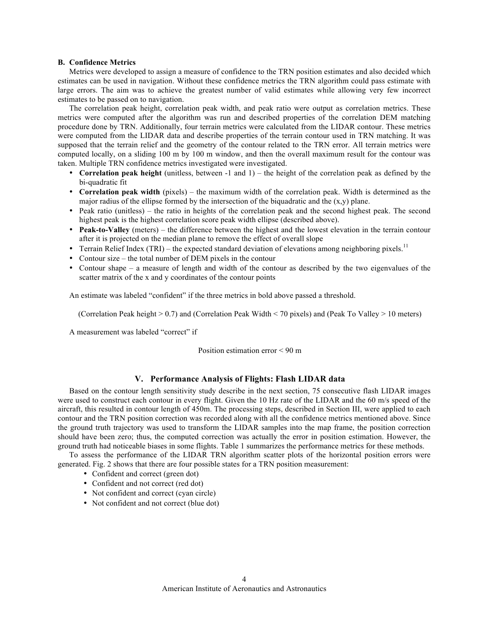## **B. Confidence Metrics**

Metrics were developed to assign a measure of confidence to the TRN position estimates and also decided which estimates can be used in navigation. Without these confidence metrics the TRN algorithm could pass estimate with large errors. The aim was to achieve the greatest number of valid estimates while allowing very few incorrect estimates to be passed on to navigation.

The correlation peak height, correlation peak width, and peak ratio were output as correlation metrics. These metrics were computed after the algorithm was run and described properties of the correlation DEM matching procedure done by TRN. Additionally, four terrain metrics were calculated from the LIDAR contour. These metrics were computed from the LIDAR data and describe properties of the terrain contour used in TRN matching. It was supposed that the terrain relief and the geometry of the contour related to the TRN error. All terrain metrics were computed locally, on a sliding 100 m by 100 m window, and then the overall maximum result for the contour was taken. Multiple TRN confidence metrics investigated were investigated.

- **Correlation peak height** (unitless, between -1 and 1) the height of the correlation peak as defined by the bi-quadratic fit
- **Correlation peak width** (pixels) the maximum width of the correlation peak. Width is determined as the major radius of the ellipse formed by the intersection of the biquadratic and the  $(x,y)$  plane.
- Peak ratio (unitless) the ratio in heights of the correlation peak and the second highest peak. The second highest peak is the highest correlation score peak width ellipse (described above).
- **Peak-to-Valley** (meters) the difference between the highest and the lowest elevation in the terrain contour after it is projected on the median plane to remove the effect of overall slope
- Terrain Relief Index (TRI) the expected standard deviation of elevations among neighboring pixels.<sup>11</sup>
- Contour size the total number of DEM pixels in the contour
- Contour shape a measure of length and width of the contour as described by the two eigenvalues of the scatter matrix of the x and y coordinates of the contour points

An estimate was labeled "confident" if the three metrics in bold above passed a threshold.

(Correlation Peak height > 0.7) and (Correlation Peak Width < 70 pixels) and (Peak To Valley > 10 meters)

A measurement was labeled "correct" if

Position estimation error < 90 m

# **V. Performance Analysis of Flights: Flash LIDAR data**

Based on the contour length sensitivity study describe in the next section, 75 consecutive flash LIDAR images were used to construct each contour in every flight. Given the 10 Hz rate of the LIDAR and the 60 m/s speed of the aircraft, this resulted in contour length of 450m. The processing steps, described in Section III, were applied to each contour and the TRN position correction was recorded along with all the confidence metrics mentioned above. Since the ground truth trajectory was used to transform the LIDAR samples into the map frame, the position correction should have been zero; thus, the computed correction was actually the error in position estimation. However, the ground truth had noticeable biases in some flights. Table 1 summarizes the performance metrics for these methods.

To assess the performance of the LIDAR TRN algorithm scatter plots of the horizontal position errors were generated. Fig. 2 shows that there are four possible states for a TRN position measurement:

- Confident and correct (green dot)
- Confident and not correct (red dot)
- Not confident and correct (cyan circle)
- Not confident and not correct (blue dot)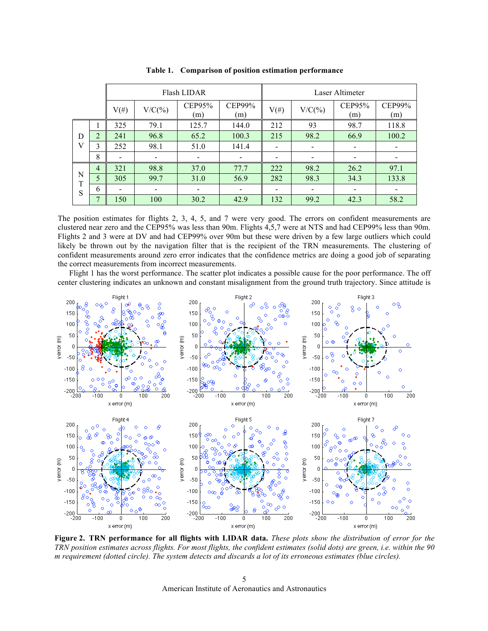|             |                | Flash LIDAR |           |               |                          | Laser Altimeter          |           |               |               |
|-------------|----------------|-------------|-----------|---------------|--------------------------|--------------------------|-----------|---------------|---------------|
|             |                | $V(\#)$     | $V/C(\%)$ | CEP95%<br>(m) | CEP99%<br>(m)            | $V(\#)$                  | $V/C(\%)$ | CEP95%<br>(m) | CEP99%<br>(m) |
| D<br>V      |                | 325         | 79.1      | 125.7         | 144.0                    | 212                      | 93        | 98.7          | 118.8         |
|             | 2              | 241         | 96.8      | 65.2          | 100.3                    | 215                      | 98.2      | 66.9          | 100.2         |
|             | 3              | 252         | 98.1      | 51.0          | 141.4                    |                          |           |               |               |
|             | 8              |             |           |               |                          |                          |           |               |               |
| N<br>T<br>S | $\overline{4}$ | 321         | 98.8      | 37.0          | 77.7                     | 222                      | 98.2      | 26.2          | 97.1          |
|             | 5              | 305         | 99.7      | 31.0          | 56.9                     | 282                      | 98.3      | 34.3          | 133.8         |
|             | 6              |             |           |               | $\overline{\phantom{a}}$ | $\overline{\phantom{a}}$ |           |               |               |
|             | ⇁              | 150         | 100       | 30.2          | 42.9                     | 132                      | 99.2      | 42.3          | 58.2          |

**Table 1. Comparison of position estimation performance** 

The position estimates for flights 2, 3, 4, 5, and 7 were very good. The errors on confident measurements are clustered near zero and the CEP95% was less than 90m. Flights 4,5,7 were at NTS and had CEP99% less than 90m. Flights 2 and 3 were at DV and had CEP99% over 90m but these were driven by a few large outliers which could likely be thrown out by the navigation filter that is the recipient of the TRN measurements. The clustering of confident measurements around zero error indicates that the confidence metrics are doing a good job of separating the correct measurements from incorrect measurements.

Flight 1 has the worst performance. The scatter plot indicates a possible cause for the poor performance. The off center clustering indicates an unknown and constant misalignment from the ground truth trajectory. Since attitude is



**Figure 2. TRN performance for all flights with LIDAR data.** *These plots show the distribution of error for the TRN position estimates across flights. For most flights, the confident estimates (solid dots) are green, i.e. within the 90 m requirement (dotted circle). The system detects and discards a lot of its erroneous estimates (blue circles).*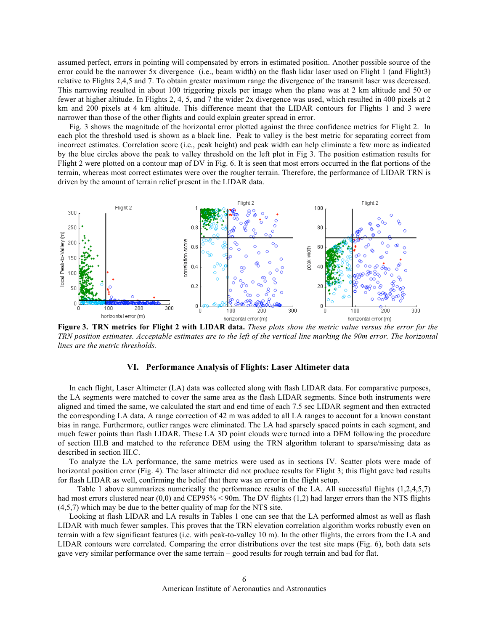assumed perfect, errors in pointing will compensated by errors in estimated position. Another possible source of the error could be the narrower 5x divergence (i.e., beam width) on the flash lidar laser used on Flight 1 (and Flight3) relative to Flights 2,4,5 and 7. To obtain greater maximum range the divergence of the transmit laser was decreased. This narrowing resulted in about 100 triggering pixels per image when the plane was at 2 km altitude and 50 or fewer at higher altitude. In Flights 2, 4, 5, and 7 the wider 2x divergence was used, which resulted in 400 pixels at 2 km and 200 pixels at 4 km altitude. This difference meant that the LIDAR contours for Flights 1 and 3 were narrower than those of the other flights and could explain greater spread in error.

Fig. 3 shows the magnitude of the horizontal error plotted against the three confidence metrics for Flight 2. In each plot the threshold used is shown as a black line. Peak to valley is the best metric for separating correct from incorrect estimates. Correlation score (i.e., peak height) and peak width can help eliminate a few more as indicated by the blue circles above the peak to valley threshold on the left plot in Fig 3. The position estimation results for Flight 2 were plotted on a contour map of DV in Fig. 6. It is seen that most errors occurred in the flat portions of the terrain, whereas most correct estimates were over the rougher terrain. Therefore, the performance of LIDAR TRN is driven by the amount of terrain relief present in the LIDAR data.



**Figure 3. TRN metrics for Flight 2 with LIDAR data.** *These plots show the metric value versus the error for the TRN position estimates. Acceptable estimates are to the left of the vertical line marking the 90m error. The horizontal lines are the metric thresholds.* 

# **VI. Performance Analysis of Flights: Laser Altimeter data**

In each flight, Laser Altimeter (LA) data was collected along with flash LIDAR data. For comparative purposes, the LA segments were matched to cover the same area as the flash LIDAR segments. Since both instruments were aligned and timed the same, we calculated the start and end time of each 7.5 sec LIDAR segment and then extracted the corresponding LA data. A range correction of 42 m was added to all LA ranges to account for a known constant bias in range. Furthermore, outlier ranges were eliminated. The LA had sparsely spaced points in each segment, and much fewer points than flash LIDAR. These LA 3D point clouds were turned into a DEM following the procedure of section III.B and matched to the reference DEM using the TRN algorithm tolerant to sparse/missing data as described in section III.C.

To analyze the LA performance, the same metrics were used as in sections IV. Scatter plots were made of horizontal position error (Fig. 4). The laser altimeter did not produce results for Flight 3; this flight gave bad results for flash LIDAR as well, confirming the belief that there was an error in the flight setup.

Table 1 above summarizes numerically the performance results of the LA. All successful flights (1,2,4,5,7) had most errors clustered near (0,0) and CEP95% < 90m. The DV flights (1,2) had larger errors than the NTS flights (4,5,7) which may be due to the better quality of map for the NTS site.

Looking at flash LIDAR and LA results in Tables 1 one can see that the LA performed almost as well as flash LIDAR with much fewer samples. This proves that the TRN elevation correlation algorithm works robustly even on terrain with a few significant features (i.e. with peak-to-valley 10 m). In the other flights, the errors from the LA and LIDAR contours were correlated. Comparing the error distributions over the test site maps (Fig. 6), both data sets gave very similar performance over the same terrain – good results for rough terrain and bad for flat.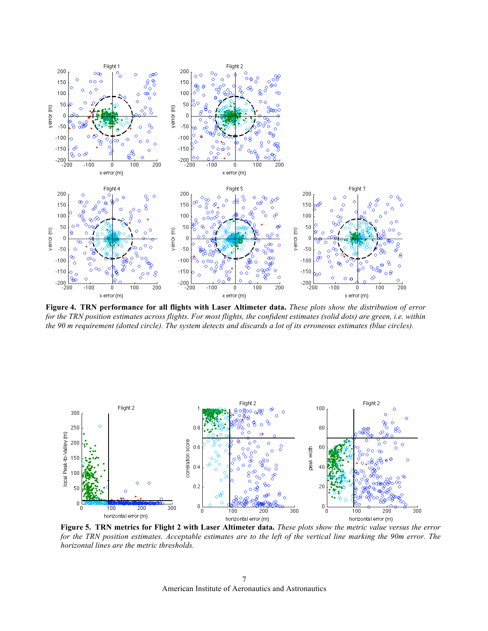

**Figure 4. TRN performance for all flights with Laser Altimeter data.** *These plots show the distribution of error for the TRN position estimates across flights. For most flights, the confident estimates (solid dots) are green, i.e. within the 90 m requirement (dotted circle). The system detects and discards a lot of its erroneous estimates (blue circles).*



**Figure 5. TRN metrics for Flight 2 with Laser Altimeter data.** *These plots show the metric value versus the error for the TRN position estimates. Acceptable estimates are to the left of the vertical line marking the 90m error. The horizontal lines are the metric thresholds.*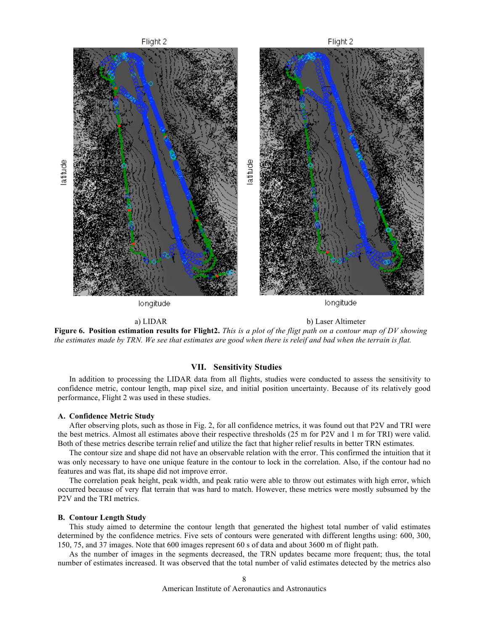

a) LIDAR b) Laser Altimeter

**Figure 6. Position estimation results for Flight2.** *This is a plot of the fligt path on a contour map of DV showing the estimates made by TRN. We see that estimates are good when there is releif and bad when the terrain is flat.*

# **VII. Sensitivity Studies**

In addition to processing the LIDAR data from all flights, studies were conducted to assess the sensitivity to confidence metric, contour length, map pixel size, and initial position uncertainty. Because of its relatively good performance, Flight 2 was used in these studies.

#### **A. Confidence Metric Study**

After observing plots, such as those in Fig. 2, for all confidence metrics, it was found out that P2V and TRI were the best metrics. Almost all estimates above their respective thresholds (25 m for P2V and 1 m for TRI) were valid. Both of these metrics describe terrain relief and utilize the fact that higher relief results in better TRN estimates.

The contour size and shape did not have an observable relation with the error. This confirmed the intuition that it was only necessary to have one unique feature in the contour to lock in the correlation. Also, if the contour had no features and was flat, its shape did not improve error.

The correlation peak height, peak width, and peak ratio were able to throw out estimates with high error, which occurred because of very flat terrain that was hard to match. However, these metrics were mostly subsumed by the P2V and the TRI metrics.

# **B. Contour Length Study**

This study aimed to determine the contour length that generated the highest total number of valid estimates determined by the confidence metrics. Five sets of contours were generated with different lengths using: 600, 300, 150, 75, and 37 images. Note that 600 images represent 60 s of data and about 3600 m of flight path.

As the number of images in the segments decreased, the TRN updates became more frequent; thus, the total number of estimates increased. It was observed that the total number of valid estimates detected by the metrics also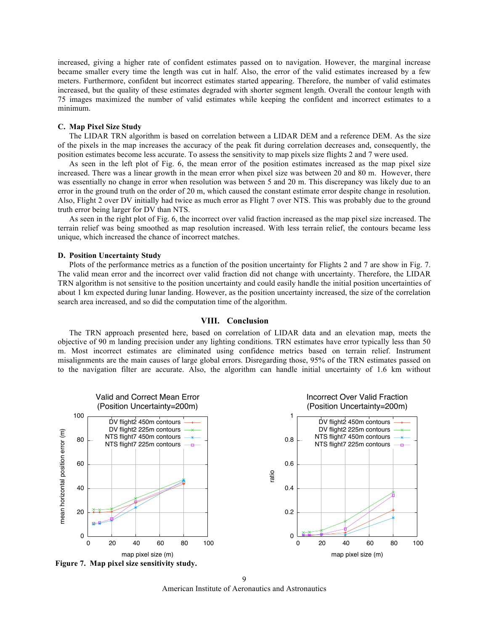increased, giving a higher rate of confident estimates passed on to navigation. However, the marginal increase became smaller every time the length was cut in half. Also, the error of the valid estimates increased by a few meters. Furthermore, confident but incorrect estimates started appearing. Therefore, the number of valid estimates increased, but the quality of these estimates degraded with shorter segment length. Overall the contour length with 75 images maximized the number of valid estimates while keeping the confident and incorrect estimates to a minimum.

# **C. Map Pixel Size Study**

The LIDAR TRN algorithm is based on correlation between a LIDAR DEM and a reference DEM. As the size of the pixels in the map increases the accuracy of the peak fit during correlation decreases and, consequently, the position estimates become less accurate. To assess the sensitivity to map pixels size flights 2 and 7 were used.

As seen in the left plot of Fig. 6, the mean error of the position estimates increased as the map pixel size increased. There was a linear growth in the mean error when pixel size was between 20 and 80 m. However, there was essentially no change in error when resolution was between 5 and 20 m. This discrepancy was likely due to an error in the ground truth on the order of 20 m, which caused the constant estimate error despite change in resolution. Also, Flight 2 over DV initially had twice as much error as Flight 7 over NTS. This was probably due to the ground truth error being larger for DV than NTS.

As seen in the right plot of Fig. 6, the incorrect over valid fraction increased as the map pixel size increased. The terrain relief was being smoothed as map resolution increased. With less terrain relief, the contours became less unique, which increased the chance of incorrect matches.

#### **D. Position Uncertainty Study**

Plots of the performance metrics as a function of the position uncertainty for Flights 2 and 7 are show in Fig. 7. The valid mean error and the incorrect over valid fraction did not change with uncertainty. Therefore, the LIDAR TRN algorithm is not sensitive to the position uncertainty and could easily handle the initial position uncertainties of about 1 km expected during lunar landing. However, as the position uncertainty increased, the size of the correlation search area increased, and so did the computation time of the algorithm.

# **VIII. Conclusion**

The TRN approach presented here, based on correlation of LIDAR data and an elevation map, meets the objective of 90 m landing precision under any lighting conditions. TRN estimates have error typically less than 50 m. Most incorrect estimates are eliminated using confidence metrics based on terrain relief. Instrument misalignments are the main causes of large global errors. Disregarding those, 95% of the TRN estimates passed on to the navigation filter are accurate. Also, the algorithm can handle initial uncertainty of 1.6 km without



**Figure 7. Map pixel size sensitivity study.** 

American Institute of Aeronautics and Astronautics  $\overline{Q}$